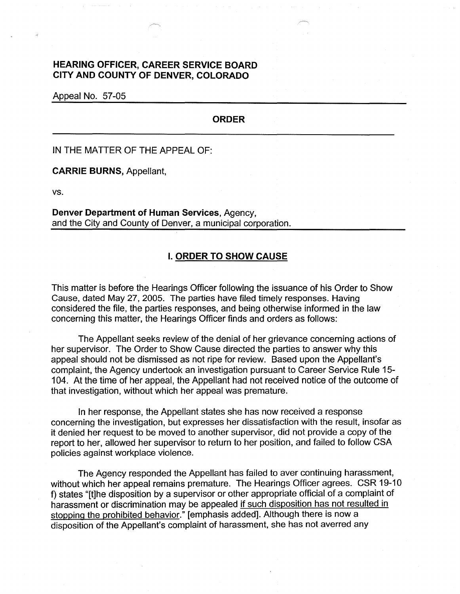## **HEARING OFFICER, CAREER SERVICE BOARD CITY AND COUNTY OF DENVER, COLORADO**

Appeal No. 57-05

## **ORDER**

IN THE MATTER OF THE APPEAL OF:

**CARRIE BURNS,** Appellant,

vs.

**Denver Department of Human Services,** Agency, and the City and County of Denver, a municipal corporation.

## I. **ORDER TO SHOW CAUSE**

This matter is before the Hearings Officer following the issuance of his Order to Show Cause, dated May 27, 2005. The parties have filed timely responses. Having considered the file, the parties responses, and being otherwise informed in the law concerning this matter, the Hearings Officer finds and orders as follows:

The Appellant seeks review of the denial of her grievance concerning actions of her supervisor. The Order to Show Cause directed the parties to answer why this appeal should not be dismissed as not ripe for review. Based upon the Appellant's complaint, the Agency undertook an investigation pursuant to Career Service Rule 15- 104. At the time of her appeal, the Appellant had not received notice of the outcome of that investigation, without which her appeal was premature.

In her response, the Appellant states she has now received a response concerning the investigation, but expresses her dissatisfaction with the result, insofar as it denied her request to be moved to another supervisor, did not provide a copy of the report to her, allowed her supervisor to return to her position, and failed to follow CSA policies against workplace violence.

The Agency responded the Appellant has failed to aver continuing harassment, without which her appeal remains premature. The Hearings Officer agrees. CSR 19-10 f) states "[t]he disposition by a supervisor or other appropriate official of a complaint of harassment or discrimination may be appealed if such disposition has not resulted in stopping the prohibited behavior." [emphasis added]. Although there is now a disposition of the Appellant's complaint of harassment, she has not averred any